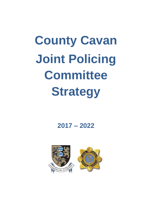# **County Cavan Joint Policing Committee Strategy**

**2017 – 2022**



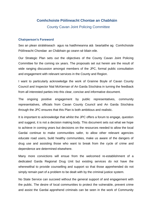#### **Comhchoiste Póilineacht Chontae an Chabháin**

County Cavan Joint Policing Committee

#### **Chairperson's Foreword**

Seo an plean stráitéiseach agus na haidhmeanna atá beartaithe ag Comhchoiste Póilíneacht Chondae an Chábhain go ceann sé bliain eile.

Our Strategic Plan sets out the objectives of the County Cavan Joint Policing Committee for the coming six years. The proposals set out herein are the result of wide ranging discussion amongst members of the JPC, formal public consultation and engagement with relevant services in the County and Region.

I want to particularly acknowledge the work of Grainne Boyle of Cavan County Council and Inspector Nial McKiernan of An Garda Síochána in turning the feedback from all interested parties into this clear, concise and informative document.

The ongoing positive engagement by public representatives, community representatives, officials from Cavan County Council and An Garda Síochána through the JPC ensures that this Plan is both ambitious and realistic.

It is important to acknowledge that whilst the JPC offers a forum to engage, question and suggest, it is not a decision making body. This document sets out what we hope to achieve in coming years but decisions on the resources needed to allow the local Gardai continue to make communities safer, to allow other relevant agencies educate road users, build healthy communities, make us aware of the dangers of drug use and assisting those who want to break from the cycle of crime and dependence are determined elsewhere.

Many more convictions will ensue from the welcomed re-establishment of a dedicated Garda Regional Drug Unit but existing services do not have the wherewithal to provide counselling and support so that those apprehended do not simply remain part of a problem to be dealt with by the criminal justice system.

No State Service can succeed without the general support of and engagement with the public. The desire of local communities to protect the vulnerable, prevent crime and assist the Gardai apprehend criminals can be seen in the work of Community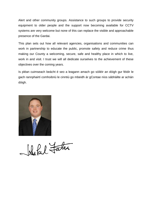Alert and other community groups. Assistance to such groups to provide security equipment to older people and the support now becoming available for CCTV systems are very welcome but none of this can replace the visible and approachable presence of the Gardai.

This plan sets out how all relevant agencies, organisations and communities can work in partnership to educate the public, promote safety and reduce crime thus making our County a welcoming, secure, safe and healthy place in which to live, work in and visit. I trust we will all dedicate ourselves to the achievement of these objectives over the coming years.

Is pléan cuimseach beácht é seo a leagann amach go sóiléir an dóigh gur féidir le gach rannphairtí comhoibriú le cinntiú go mbeidh ár gContae níos sábháilte ar achán dóigh.



Island Father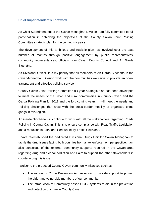#### **Chief Superintendent's Foreword**

As Chief Superintendent of the Cavan Monaghan Division I am fully committed to full participation in achieving the objectives of the County Cavan Joint Policing Committee strategic plan for the coming six years.

The development of this ambitious and realistic plan has evolved over the past number of months through positive engagement by public representatives, community representatives, officials from Cavan County Council and An Garda Síochána.

As Divisional Officer, it is my priority that all members of An Garda Síochána in the Cavan/Monaghan Division work with the communities we serve to provide an open, transparent and effective policing service.

County Cavan Joint Policing Committee six-year strategic plan has been developed to meet the needs of the urban and rural communities in County Cavan and the Garda Policing Plan for 2017 and the forthcoming years. It will meet the needs and Policing challenges that arise with the cross-border mobility of organised crime gangs in this region.

An Garda Síochána will continue to work with all the stakeholders regarding Roads Policing in County Cavan. This is to ensure compliance with Road Traffic Legislation and a reduction in Fatal and Serious Injury Traffic Collisions.

I have re-established the dedicated Divisional Drugs Unit for Cavan Monaghan to tackle the drug issues facing both counties from a law enforcement perspective. I am also conscious of the external community supports required in the Cavan area regarding drug and alcohol addiction and I aim to support the other stakeholders in counteracting this issue.

I welcome the proposed County Cavan community initiatives such as:

- The roll out of Crime Prevention Ambassadors to provide support to protect the older and vulnerable members of our community.
- The introduction of Community based CCTV systems to aid in the prevention and detection of crime in County Cavan.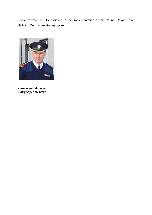I look forward to fully assisting in the implementation of the County Cavan Joint Policing Committee strategic plan.



*Christopher Mangan Chief Superintendent*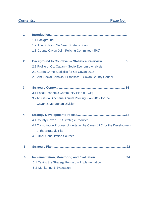# **Contents: Page No.**

| 1            |                                                                      |
|--------------|----------------------------------------------------------------------|
|              | 1.1 Background                                                       |
|              | 1.2 Joint Policing Six Year Strategic Plan                           |
|              | 1.3 County Cavan Joint Policing Committee (JPC)                      |
| $\mathbf{2}$ | Background to Co. Cavan - Statistical Overview3                      |
|              | 2.1 Profile of Co. Cavan - Socio Economic Analysis                   |
|              | 2.2 Garda Crime Statistics for Co Cavan 2016                         |
|              | 2.3 Anti Social Behaviour Statistics - Cavan County Council          |
| 3            |                                                                      |
|              | 3.1 Local Economic Community Plan (LECP)                             |
|              | 3.2 An Garda Síochána Annual Policing Plan 2017 for the              |
|              | Cavan & Monaghan Division                                            |
| 4            |                                                                      |
|              | 4.1 County Cavan JPC Strategic Priorities                            |
|              | 4.2 Consultation Process Undertaken by Cavan JPC for the Development |
|              | of the Strategic Plan                                                |
|              | <b>4.3 Other Consultation Sources</b>                                |
| 5.           | 22                                                                   |
| 6.           |                                                                      |
|              | 6.1 Taking the Strategy Forward – Implementation                     |
|              | 6.2 Monitoring & Evaluation                                          |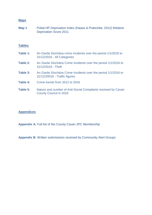#### **Maps**

| Map 1 | Pobal HP Deprivation Index (Haase & Pratschke, 2012) Relative |
|-------|---------------------------------------------------------------|
|       | <b>Deprivation Score 2011</b>                                 |

#### **Tables:**

| Table 1: | An Garda Síochána crime incidents over the period 1/1/2016 to<br>31/12/2016 - All Categories   |
|----------|------------------------------------------------------------------------------------------------|
| Table 2: | An Garda Síochána Crime Incidents over the period 1/1/2016 to<br>31/12/2016 - Theft            |
| Table 3: | An Garda Síochána Crime Incidents over the period 1/1/2016 to<br>31/12/20016 - Traffic figures |
| Table 4: | Crime trends from 2012 to 2016                                                                 |
| Table 5: | Nature and number of Anti-Social Complaints received by Cavan<br><b>County Council in 2016</b> |

#### **Appendices**

**Appendix A:** Full list of the County Cavan JPC Membership

**Appendix B:** Written submissions received by Community Alert Groups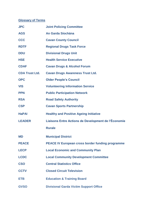# **Glossary of Terms**

| <b>JPC</b>            | <b>Joint Policing Committee</b>                         |
|-----------------------|---------------------------------------------------------|
| <b>AGS</b>            | An Garda Síochána                                       |
| <b>CCC</b>            | <b>Cavan County Council</b>                             |
| <b>RDTF</b>           | <b>Regional Drugs Task Force</b>                        |
| <b>DDU</b>            | <b>Divisional Drugs Unit</b>                            |
| <b>HSE</b>            | <b>Health Service Executive</b>                         |
| <b>CDAF</b>           | <b>Cavan Drugs &amp; Alcohol Forum</b>                  |
| <b>CDA Trust Ltd.</b> | <b>Cavan Drugs Awareness Trust Ltd.</b>                 |
| <b>OPC</b>            | <b>Older People's Council</b>                           |
| <b>VIS</b>            | <b>Volunteering Information Service</b>                 |
| <b>PPN</b>            | <b>Public Participation Network</b>                     |
| <b>RSA</b>            | <b>Road Safety Authority</b>                            |
| <b>CSP</b>            | <b>Cavan Sports Partnership</b>                         |
| <b>HaPAI</b>          | <b>Healthy and Positive Ageing Initiative</b>           |
| <b>LEADER</b>         | Liaisons Entre Actions de Development de l'Économie     |
|                       | <b>Rurale</b>                                           |
| <b>MD</b>             | <b>Municipal District</b>                               |
| <b>PEACE</b>          | <b>PEACE IV European cross border funding programme</b> |
| <b>LECP</b>           | <b>Local Economic and Community Plan</b>                |
| <b>LCDC</b>           | <b>Local Community Development Committee</b>            |
| <b>CSO</b>            | <b>Central Statistics Office</b>                        |
| <b>CCTV</b>           | <b>Closed Circuit Television</b>                        |
| <b>ETB</b>            | <b>Education &amp; Training Board</b>                   |
| <b>GVSO</b>           | <b>Divisional Garda Victim Support Office</b>           |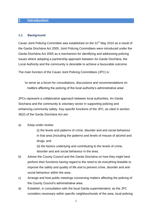#### **1 Introduction**

#### **1.1 Background**

Cavan Joint Policing Committee was established on the 31<sup>st</sup> May 2010 as a result of the Garda Síochána Act 2005. Joint Policing Committees were introduced under the Garda Síochána Act 2005 as a mechanism for identifying and addressing policing issues where adopting a partnership approach between An Garda Síochána, the Local Authority and the community is desirable to achieve a favourable outcome.

The main function of the Cavan Joint Policing Committees (JPC) is:

'to serve as a forum for consultations, discussions and recommendations on matters affecting the policing of the local authority's administrative area'.

JPCs represent a collaborative approach between local authorities, An Garda Siochana and the community & voluntary sector in supporting policing and enhancing community safety. Key specific functions of the JPC, as cited in section 36(2) of the Garda Síochána Act are:

#### a) Keep under review:

(i) the levels and patterns of crime, disorder and anti social behaviour in that area (including the patterns and levels of misuse of alcohol and drugs, and

(ii) the factors underlying and contributing to the levels of crime, disorder and anti social behaviour in the area.

- b) Advise the County Council and the Garda Síochána on how they might best perform their functions having regard to the need to do everything feasible to improve the safety and quality of life and to prevent crime, disorder and antisocial behaviour within the area.
- c) Arrange and host public meetings concerning matters affecting the policing of the County Council's administrative area.
- d) Establish, in consultation with the local Garda superintendent, as the JPC considers necessary within specific neighbourhoods of the area, local policing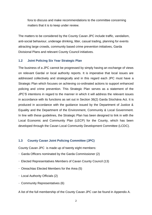fora to discuss and make recommendations to the committee concerning matters that it is to keep under review.

The matters to be considered by the County Cavan JPC include traffic, vandalism, anti-social behaviour, underage drinking, litter, casual trading, planning for events attracting large crowds, community based crime prevention initiatives, Garda Divisional Plans and relevant County Council initiatives.

#### **1.2 Joint Policing Six Year Strategic Plan**

The business of a JPC cannot be progressed by simply having an exchange of views on relevant Gardaí or local authority reports. It is imperative that local issues are addressed collectively and strategically and in this regard each JPC must have a Strategic Plan which focuses on achieving co-ordinated actions to support enhanced policing and crime prevention. This Strategic Plan serves as a statement of the JPC'S intentions in regard to the manner in which it will address the relevant issues in accordance with its functions as set out in Section 36(2) Garda Síochána Act. It is produced in accordance with the guidance issued by the Department of Justice & Equality and the Department of the Environment, Community & Local Government. In line with these guidelines, the Strategic Plan has been designed to link in with the Local Economic and Community Plan (LECP) for the County, which has been developed through the Cavan Local Community Development Committee (LCDC).

#### **1.3 County Cavan Joint Policing Committee (JPC)**

County Cavan JPC is made up of twenty eight members:

- $\cdot$  Garda Officers nominated by the Garda Commissioner (2)
- Elected Representatives Members of Cavan County Council (13)
- $\cdot$  Oireachtas Elected Members for the Area (5)
- Local Authority Officials (2)
- Community Representatives (6)

A list of the full membership of the County Cavan JPC can be found in Appendix A.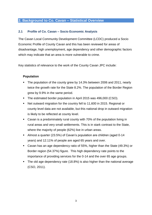#### **2. Background to Co. Cavan – Statistical Overview**

#### **2.1 Profile of Co. Cavan – Socio Economic Analysis**

The Cavan Local Community Development Committee (LCDC) produced a Socio Economic Profile of County Cavan and this has been reviewed for areas of disadvantage, high unemployment, age dependency and other demographic factors which may indicate that an area is more vulnerable to crime.

Key statistics of relevance to the work of the County Cavan JPC include:

#### **Population**

- The population of the county grew by 14.3% between 2006 and 2011, nearly twice the growth rate for the State 8.2%. The population of the Border Region grew by 9.9% in the same period.
- The estimated border population in April 2015 was 496,000 (CSO).
- Net outward migration for the country fell to 11,600 in 2015. Regional or county level data are not available, but this national drop in outward migration is likely to be reflected at county level.
- Cavan is a predominately rural county with 70% of the population living in rural areas and very small settlements. This is in stark contrast to the State, where the majority of people (62%) live in urban areas.
- Almost a quarter (23.5%) of Cavan's population are children (aged 0-14 years) and 12.11% of people are aged 65 years and over.
- Cavan has an age dependency ratio of 55%, higher than the State (49.3%) or Border region (54.37%) figure. This high dependency rate points to the importance of providing services for the 0-14 and the over 65 age groups.
- The old age dependency rate (18.8%) is also higher than the national average (CSO, 2011).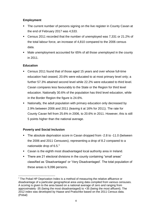#### **Employment**

- The current number of persons signing on the live register in County Cavan at the end of February 2017 was 4,533.
- Census 2011 recorded that the number of unemployed was 7,331 or 21.2% of the total labour force, an increase of 4,810 compared to the 2006 census data.
- Male unemployment accounted for 65% of all those unemployed in the county in 2011.

#### **Education**

- Census 2011 found that of those aged 15 years and over whose full-time education had ceased, 20.6% were educated to at most primary level only; a further 57.3% attained second level while 22.2% were educated to third level. Cavan compares less favourably to the State or the Region for third level education. Nationally 30.6% of the population has third level education, while in the Border Region the figure is 24.6%.
- Nationally, the adult population with primary education only decreased by 2.9% between 2006 and 2011 (leaving it at 16% for 2011). The rate for County Cavan fell from 25.6% in 2006, to 20.6% in 2011. However, this is still 5 points higher than the national average.

#### **Poverty and Social Inclusion**

- The absolute deprivation score in Cavan dropped from -2.8 to -11.0 (between the 2006 and 2011 Censuses), representing a drop of 8.2 compared to a nationwide drop of  $6.5<sup>1</sup>$
- Cavan is the eighth most disadvantaged local authority area in Ireland.
- There are 21 electoral divisions in the county containing "small areas" classified as 'Disadvantaged' or 'Very Disadvantaged'. The total population of these areas is 9,096 persons.

**<sup>.</sup>**  $1$  The Pobal HP Deprivation Index is a method of measuring the relative affluence or disadvantage of a particular geographical area using data compiled from various censuses. A scoring is given to the area based on a national average of zero and ranging from approximately -35 (being the most disadvantaged) to +35 (being the most affluent). The 2012 index was developed by Haase and Pratschke based on the 2011 Census data. (Pobal)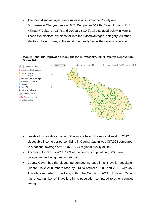The most disadvantaged electoral divisions within the County are Drumakeever/Derrynananta (-16.8), Derrylahan (-12.8), Cavan Urban (-11.8), Killinagh/Teebane (-11.7) and Doogary (-10.2), all displayed below in Map 1. These five electoral divisions fall into the 'Disadvantaged' category. All other electoral divisions are, at the most, marginally below the national average.





- Levels of disposable income in Cavan are below the national level. In 2012 disposable income per person living in County Cavan was €17,023 compared to a national average of €19,468 (CSO regional quality of life).
- According to Census 2011, 12% of the county's population (8,830) are categorised as being foreign national.
- County Cavan had the biggest percentage increase in its Traveller population (where Traveller numbers rose by 114%) between 2006 and 2011, with 453 Travellers recorded to be living within the County in 2011. However, Cavan has a low number of Travellers in its population compared to other counties overall.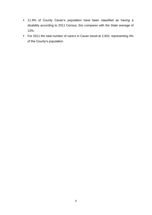- 11.9% of County Cavan's population have been classified as having a disability according to 2011 Census; this compares with the State average of 13%.
- For 2011 the total number of carers in Cavan stood at 2,933, representing 4% of the County's population.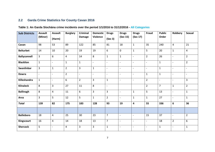#### **2.2 Garda Crime Statistics for County Cavan 2016**

#### **Table 1: An Garda Síochána crime incidents over the period 1/1/2016 to 31/12/2016 - All Categories**

| <b>Sub Districts</b> | <b>Assault</b>           | <b>Assault</b>           | <b>Burglary</b> | <b>Criminal</b>          | <b>Domestic</b>          | <b>Drugs</b>             | <b>Drugs</b>             | <b>Drugs</b>             | Fraud                    | <b>Public</b>            | Robbery                  | <b>Sexual</b>            |
|----------------------|--------------------------|--------------------------|-----------------|--------------------------|--------------------------|--------------------------|--------------------------|--------------------------|--------------------------|--------------------------|--------------------------|--------------------------|
|                      | (Minor)                  | (Harm)                   |                 | <b>Damage</b>            | <b>Violence</b>          | (Sec 3)                  | (Sec 15)                 | (Sec 17)                 |                          | Order                    |                          |                          |
| Cavan                | 98                       | 53                       | 89              | 122                      | 85                       | 81                       | 18                       | $\mathbf{1}$             | 35                       | 240                      | $\overline{4}$           | 21                       |
| <b>Belturbet</b>     | 14                       | 10                       | 20              | 19                       | 19                       | 6                        | $\mathbf 0$              | $\mathbf{1}$             | 5                        | 20                       | $\mathbf 1$              | 4                        |
| <b>Ballyconnell</b>  | $\overline{3}$           | 6                        | 4               | 14                       | 8                        | $\mathbf{1}$             | $\mathbf{1}$             | $\overline{\phantom{a}}$ | $\overline{2}$           | 26                       | $\overline{\phantom{a}}$ | $\overline{2}$           |
| <b>Blacklion</b>     | $\mathbf{1}$             | $\blacksquare$           | $\mathbf{1}$    | $\mathbf{1}$             | $\mathbb{L}$             | $\mathbf{r}$             | $\Box$                   | $\mathbf{r}$             | $\blacksquare$           | $\mathbf{1}$             | $\overline{\phantom{a}}$ | $\overline{2}$           |
| <b>Swanlinbar</b>    | $\overline{3}$           | $\mathbf{1}$             | $\overline{2}$  | 3                        | $\mathbf{1}$             | $\overline{a}$           | $\overline{a}$           | $\overline{\phantom{a}}$ | $\overline{\phantom{a}}$ | $\mathbf{1}$             | $\overline{\phantom{a}}$ | $\overline{\phantom{0}}$ |
| <b>Dowra</b>         | $\overline{\phantom{a}}$ | $\overline{\phantom{a}}$ | $\overline{2}$  | $\overline{\phantom{a}}$ | $\overline{\phantom{a}}$ | $\overline{\phantom{a}}$ | $\overline{\phantom{a}}$ | $\overline{\phantom{a}}$ | $\mathbf{1}$             | $\mathbf{1}$             | $\overline{\phantom{a}}$ | $\blacksquare$           |
| Killeshandra         | $\mathbf{1}$             | $\overline{\phantom{a}}$ | 6               | $\overline{2}$           | $\overline{3}$           | $\mathbf{1}$             | $\overline{\phantom{a}}$ | $\overline{\phantom{a}}$ | $\overline{2}$           | $\overline{\phantom{a}}$ | $\overline{\phantom{a}}$ | $\overline{3}$           |
| <b>Kilnaleck</b>     | 8                        | 3                        | 27              | 11                       | 8                        | $\overline{a}$           |                          |                          | $\overline{2}$           | $\overline{7}$           | $\mathbf{1}$             | $\overline{2}$           |
| <b>Ballinagh</b>     | 8                        | $\overline{4}$           | 11              | 6                        | $\overline{3}$           | 3                        | $\overline{\phantom{a}}$ | $\mathbf{1}$             | 5                        | 13                       | $\overline{\phantom{a}}$ | $\mathbf{1}$             |
| Arva                 | 3                        | 5                        | 12              | 5                        | $\mathbf{1}$             | $\overline{2}$           | $\overline{a}$           | $\mathbf{1}$             | $\mathbf{1}$             | 27                       | $\overline{\phantom{a}}$ | $\mathbf{1}$             |
| <b>Total</b>         | 139                      | 82                       | 175             | 183                      | 128                      | 93                       | 19                       | 4                        | 55                       | 336                      | 6                        | 36                       |
|                      |                          |                          |                 |                          |                          |                          |                          |                          |                          |                          |                          |                          |
| <b>Bailieboro</b>    | 18                       | 4                        | 25              | 30                       | 23                       | $\overline{7}$           | $\overline{\phantom{a}}$ | $\overline{\phantom{a}}$ | 15                       | 37                       | $\overline{\phantom{a}}$ | $\overline{2}$           |
| Kingscourt           | 16                       | $\overline{4}$           | 14              | 18                       | 13                       | $\overline{7}$           | $\blacksquare$           | $\blacksquare$           | $\blacksquare$           | 18                       | $\overline{2}$           | 6                        |
| <b>Shercock</b>      | 5                        | $\overline{\phantom{a}}$ | 4               | 3                        | $\overline{3}$           | $\mathbf{1}$             | $\overline{\phantom{m}}$ | $\overline{\phantom{a}}$ | $\overline{a}$           | $\mathbf{1}$             | $\overline{\phantom{a}}$ | 1                        |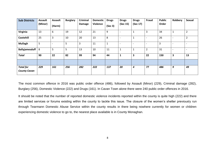| <b>Sub Districts</b>                    | <b>Assault</b><br>(Minor) | <b>Assault</b><br>(Harm) | <b>Burglary</b> | <b>Criminal</b><br><b>Damage</b> | <b>Domestic</b><br>Violence | <b>Drugs</b><br>(Sec 3) | <b>Drugs</b><br>(Sec 15) | <b>Drugs</b><br>(Sec 17) | Fraud                    | <b>Public</b><br>Order | Robbery                  | Sexual         |
|-----------------------------------------|---------------------------|--------------------------|-----------------|----------------------------------|-----------------------------|-------------------------|--------------------------|--------------------------|--------------------------|------------------------|--------------------------|----------------|
| Virginia                                | 13                        | 6                        | 19              | 12                               | 21                          | 9                       | $\overline{\phantom{0}}$ | J.                       | 3                        | 34                     | 1                        | $\overline{2}$ |
| Cootehill                               | 25                        | 3                        | 10              | 20                               | 13                          | 8                       | $\overline{\phantom{a}}$ | Ŧ                        | $\overline{\phantom{0}}$ | 26                     | $\overline{\phantom{0}}$ | $\overline{2}$ |
| <b>Mullagh</b>                          | 5                         | $\overline{\phantom{a}}$ | 5               | 3                                | 11                          | 1                       | $\overline{\phantom{a}}$ |                          | $\overline{\phantom{0}}$ | 3                      |                          |                |
| <b>Ballyjamesduff</b>                   | 8                         | 5                        | 5               | 13                               | 10                          | 11                      | $\mathbf{1}$             |                          | $\overline{2}$           | 31                     |                          |                |
| <b>Total</b>                            | 90                        | 22                       | 82              | 99                               | 94                          | 44                      | $\mathbf{1}$             | 3                        | 22                       | 150                    | 3                        | 13             |
|                                         |                           |                          |                 |                                  |                             |                         |                          |                          |                          |                        |                          |                |
| <b>Total for</b><br><b>County Cavan</b> | 229                       | 161                      | 256             | 282                              | 222                         | 137                     | 20                       | 4                        | 77                       | 486                    | 9                        | 49             |

The most common offence in 2016 was public order offence (486), followed by Assault (Minor) (229), Criminal damage (282), Burglary (256), Domestic Violence (222) and Drugs (161). In Cavan Town alone there were 240 public order offences in 2016.

It should be noted that the number of reported domestic violence incidents reported within the county is quite high (222) and there are limited services or forums existing within the county to tackle this issue. The closure of the women's shelter previously run through Tearmann Domestic Abuse Service within the county results in there being nowhere currently for women or children experiencing domestic violence to go to, the nearest place available is in County Monaghan.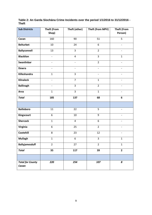**Table 2: An Garda Síochána Crime Incidents over the period 1/1/2016 to 31/12/2016 - Theft**

| <b>Sub Districts</b>             | <b>Theft (From</b>       | Theft (other)            | Theft (from MPV)         | <b>Theft (From</b>       |
|----------------------------------|--------------------------|--------------------------|--------------------------|--------------------------|
|                                  | Shop)                    |                          |                          | Person)                  |
| Cavan                            | 160                      | 90                       | 51                       | 5                        |
| <b>Belturbet</b>                 | 10                       | 24                       | 6                        | $\frac{1}{2}$            |
| <b>Ballyconnell</b>              | 13                       | 3                        | $\overline{2}$           | $\overline{\phantom{a}}$ |
| <b>Blacklion</b>                 | $\frac{1}{2}$            | $\overline{4}$           | 3                        | $\mathbf{1}$             |
| Swanlinbar                       |                          | $\overline{a}$           | $\overline{2}$           |                          |
| <b>Dowra</b>                     |                          | $\overline{\phantom{a}}$ | $\overline{\phantom{0}}$ | $\overline{a}$           |
| Killeshandra                     | $\mathbf{1}$             | $\overline{3}$           | $\overline{\phantom{0}}$ | $\overline{\phantom{0}}$ |
| <b>Kilnaleck</b>                 | $\overline{\phantom{a}}$ | $\overline{7}$           | $\mathbf 1$              | $\overline{\phantom{a}}$ |
| <b>Ballinagh</b>                 | $\overline{\phantom{a}}$ | $\overline{3}$           | $\overline{2}$           | $\overline{\phantom{a}}$ |
| Arva                             | $\mathbf{1}$             | $\overline{3}$           | $\mathbf{1}$             | $\overline{\phantom{a}}$ |
| <b>Total</b>                     | 185                      | 137<br>68                |                          | $\boldsymbol{6}$         |
|                                  |                          |                          |                          |                          |
| <b>Bailieboro</b>                | 11                       | 22                       | 5                        | $\overline{\phantom{a}}$ |
| Kingscourt                       | $\boldsymbol{6}$         | 10                       | 9                        | $\overline{\phantom{a}}$ |
| <b>Shercock</b>                  | $\mathbf 1$              | $\overline{4}$           | 6                        | $\qquad \qquad -$        |
| Virginia                         | 6                        | 25                       | $\overline{2}$           |                          |
| Cootehill                        | 8                        | 23                       | 12                       |                          |
| <b>Mullagh</b>                   | $\mathbf{1}$             | $\boldsymbol{6}$         | 3                        | $\mathbf{1}$             |
| <b>Ballyjamesduff</b>            | $\overline{2}$           | 27                       | $\overline{2}$           | $\mathbf{1}$             |
| <b>Total</b>                     | 35                       | 117                      | 39                       | $\overline{2}$           |
|                                  |                          |                          |                          |                          |
| <b>Total for County</b><br>Cavan | 220                      | 254                      | 107                      | 8                        |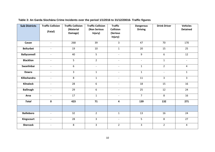| <b>Sub Districts</b> | <b>Traffic Collision</b><br>(Fatal) | <b>Traffic Collision</b><br>(Material<br>Damage) | <b>Traffic Collision</b><br>(Non Serious<br>Injury) | <b>Traffic</b><br>Collision<br>(Serious<br>Injury) | <b>Dangerous</b><br><b>Driving</b> | <b>Drink Driver</b>      | <b>Vehicles</b><br><b>Detained</b> |
|----------------------|-------------------------------------|--------------------------------------------------|-----------------------------------------------------|----------------------------------------------------|------------------------------------|--------------------------|------------------------------------|
| Cavan                | $\overline{\phantom{a}}$            | 268                                              | 39                                                  | $\overline{3}$                                     | 47                                 | 70                       | 170                                |
| <b>Belturbet</b>     | $\overline{\phantom{a}}$            | 19                                               | 10                                                  | $\mathbf{1}$                                       | 20                                 | 15                       | 25                                 |
| <b>Ballyconnell</b>  | $\overline{\phantom{a}}$            | 40                                               | 5 <sup>5</sup>                                      | $\overline{\phantom{a}}$                           | 9                                  | 6                        | 12                                 |
| <b>Blacklion</b>     | $\overline{\phantom{a}}$            | 5                                                | $\overline{2}$                                      | $\overline{\phantom{a}}$                           | $\blacksquare$                     | $\mathbf{1}$             | $\overline{\phantom{a}}$           |
| Swanlinbar           |                                     | 6                                                | $\overline{\phantom{a}}$                            | $\overline{a}$                                     | $\mathbf{1}$                       | $\overline{2}$           | $\overline{4}$                     |
| <b>Dowra</b>         | $\overline{\phantom{a}}$            | $\overline{3}$                                   | $\mathbf{1}$                                        | $\overline{\phantom{a}}$                           | $\mathbf{1}$                       | $\overline{\phantom{a}}$ | $\mathbf{1}$                       |
| Killeshandra         | $\overline{\phantom{a}}$            | 8                                                | $\mathbf{1}$                                        | $\overline{\phantom{a}}$                           | 11                                 | 3                        | $\mathbf{3}$                       |
| <b>Kilnaleck</b>     | $\overline{\phantom{a}}$            | 28                                               | $6\,$                                               | $\overline{\phantom{a}}$                           | 18                                 | 15                       | 16                                 |
| <b>Ballinagh</b>     | $\overline{\phantom{a}}$            | 29                                               | $6\phantom{1}$                                      | $\overline{\phantom{0}}$                           | 25                                 | 12                       | 24                                 |
| Arva                 |                                     | 17                                               | $\mathbf{1}$                                        |                                                    | $\overline{7}$                     | 8                        | 16                                 |
| <b>Total</b>         | $\mathbf 0$                         | 423                                              | 71                                                  | $\overline{\mathbf{4}}$                            | 139                                | 132                      | 271                                |
|                      |                                     |                                                  |                                                     |                                                    |                                    |                          |                                    |
| <b>Bailieboro</b>    | $\overline{\phantom{a}}$            | 32                                               | $\overline{2}$                                      | $\mathbf{1}$                                       | 13                                 | 16                       | 24                                 |
| Kingscourt           | $\overline{\phantom{a}}$            | 28                                               | $\overline{3}$                                      | $\blacksquare$                                     | 5                                  | 8                        | 27                                 |
| <b>Shercock</b>      |                                     | 8                                                | 3                                                   | $\overline{2}$                                     | $\overline{3}$                     | $\overline{2}$           | $\overline{4}$                     |

#### **Table 3: An Garda Síochána Crime Incidents over the period 1/1/2016 to 31/12/20016- Traffic figures**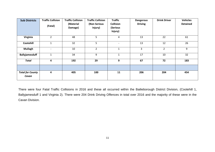| <b>Sub Districts</b>             | <b>Traffic Collision</b><br>(Fatal) | <b>Traffic Collision</b><br>(Material<br>Damage) | <b>Traffic Collision</b><br>(Non Serious<br>Injury) | <b>Traffic</b><br><b>Collision</b><br>(Serious<br>Injury) | <b>Dangerous</b><br><b>Driving</b> | <b>Drink Driver</b> | <b>Vehicles</b><br><b>Detained</b> |
|----------------------------------|-------------------------------------|--------------------------------------------------|-----------------------------------------------------|-----------------------------------------------------------|------------------------------------|---------------------|------------------------------------|
| Virginia                         | $\overline{2}$                      | 48                                               | 5                                                   | 4                                                         | 13                                 | 22                  | 61                                 |
| Cootehill                        | 1                                   | 32                                               | 5                                                   | $\qquad \qquad -$                                         | 13                                 | 12                  | 26                                 |
| <b>Mullagh</b>                   | $\overline{\phantom{a}}$            | 10                                               | $\overline{2}$                                      | $\mathbf{1}$                                              | 3                                  | $\overline{2}$      | 9                                  |
| <b>Ballyjamesduff</b>            | $\mathbf{1}$                        | 34                                               | 9                                                   | $\mathbf{1}$                                              | 17                                 | 10                  | 32                                 |
| <b>Total</b>                     | 4                                   | 192                                              | 29                                                  | 9                                                         | 67                                 | 72                  | 183                                |
|                                  |                                     |                                                  |                                                     |                                                           |                                    |                     |                                    |
| <b>Total for County</b><br>Cavan | 4                                   | 405                                              | 100                                                 | 11                                                        | 206                                | 204                 | 454                                |

There were four Fatal Traffic Collisions in 2016 and these all occurred within the Bailieborough District Division, (Cootehill 1, Ballyjamesduff 1 and Virginia 2). There were 204 Drink Driving Offences in total over 2016 and the majority of these were in the Cavan Division.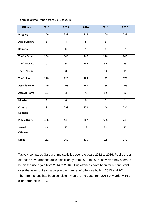#### **Table 4: Crime trends from 2012 to 2016**

| <b>Offence</b>                   | 2016           | 2015           | 2014        | 2013           | 2012           |
|----------------------------------|----------------|----------------|-------------|----------------|----------------|
| <b>Burglary</b>                  | 256            | 339            | 215         | 200            | 282            |
| Agg. Burglary                    | $\overline{3}$ | $\overline{4}$ | 5           | 5              | $\overline{4}$ |
| Robbery                          | 9              | 14             | 9           | $\overline{4}$ | $\overline{2}$ |
| Theft - Other                    | 254            | 340            | 249         | 216            | 245            |
| Theft $-$ M.P.V                  | 107            | 88             | 135         | 86             | 85             |
| <b>Theft-Person</b>              | 8              | 8              | 10          | 10             | 15             |
| <b>Theft-Shop</b>                | 220            | 226            | 184         | 142            | 179            |
| <b>Assault Minor</b>             | 229            | 208            | 168         | 156            | 206            |
| <b>Assault Harm</b>              | 161            | 88             | 78          | 82             | 80             |
| <b>Murder</b>                    | $\overline{4}$ | $\mathbf 0$    | $\mathbf 0$ | $\overline{3}$ | $\overline{2}$ |
| <b>Criminal</b><br><b>Damage</b> | 291            | 299            | 252         | 246            | 284            |
| <b>Public Order</b>              | 486            | 445            | 402         | 558            | 748            |
| <b>Sexual</b><br><b>Offences</b> | 49             | 37             | 28          | 32             | 32             |
| <b>Drugs</b>                     | 161            | 160            | 130         | 125            | 172            |

Table 4 compares Gardaí crime statistics over the years 2012 to 2016. Public order offences have dropped quite significantly from 2012 to 2014, however they seem to be on the rise again from 2014 to 2016. Drug offences have been fairly consistent over the years but saw a drop in the number of offences both in 2013 and 2014. Theft from shops has been consistently on the increase from 2013 onwards, with a slight drop off in 2016.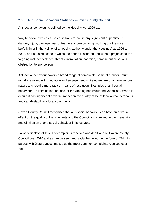#### **2.3 Anti-Social Behaviour Statistics – Cavan County Council**

Anti-social behaviour is defined by the Housing Act 2009 as:

'Any behaviour which causes or is likely to cause any significant or persistent danger, injury, damage, loss or fear to any person living, working or otherwise lawfully in or in the vicinity of a housing authority under the Housing Acts 1966 to 2002, or a housing estate in which the house is situated and without prejudice to the forgoing includes violence, threats, intimidation, coercion, harassment or serious obstruction to any person'

Anti-social behaviour covers a broad range of complaints, some of a minor nature usually resolved with mediation and engagement, while others are of a more serious nature and require more radical means of resolution. Examples of anti social behaviour are intimidation, abusive or threatening behaviour and vandalism. When it occurs it has significant adverse impact on the quality of life of local authority tenants and can destabilise a local community.

Cavan County Council recognises that anti-social behaviour can have an adverse effect on the quality of life of tenants and the Council is committed to the prevention and elimination of anti-social behaviour in its estates.

Table 5 displays all levels of complaints received and dealt with by Cavan County Council over 2016 and as can be seen anti-social behaviour in the form of 'Drinking parties with Disturbances' makes up the most common complaints received over 2016.

13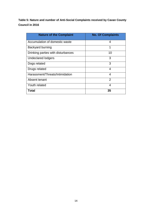**Table 5: Nature and number of Anti-Social Complaints received by Cavan County Council in 2016**

| <b>Nature of the Complaint</b>     | <b>No. Of Complaints</b> |
|------------------------------------|--------------------------|
| Accumulation of domestic waste     | 4                        |
| Backyard burning                   | 1                        |
| Drinking parties with disturbances | 10                       |
| <b>Undeclared lodgers</b>          | 3                        |
| Dogs related                       | 3                        |
| Drugs related                      | 4                        |
| Harassment/Threats/Intimidation    | 4                        |
| Absent tenant                      | $\mathcal{P}$            |
| Youth related                      | 4                        |
| Total                              | 35                       |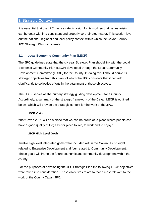#### **3. Strategic Context**

It is essential that the JPC has a strategic vision for its work so that issues arising can be dealt with in a consistent and properly co-ordinated matter. This section lays out the national, regional and local policy context within which the Cavan County JPC Strategic Plan will operate.

#### **3.1 Local Economic Community Plan (LECP)**

The JPC guidelines state that the six year Strategic Plan should link with the Local Economic Community Plan (LECP) developed through the Local Community Development Committee (LCDC) for the County. In doing this it should derive its strategic objectives from this plan, of which the JPC considers that it can add significantly to collective efforts in the attainment of those objectives.

The LECP serves as the primary strategy guiding development for a County. Accordingly, a summary of the strategic framework of the Cavan LECP is outlined below, which will provide the strategic context for the work of the JPC.

#### **LECP Vision**

"that Cavan 2021 will be a place that we can be proud of; a place where people can have a good quality of life; a better place to live, to work and to enjoy."

#### **LECP High Level Goals**

Twelve high level integrated goals were included within the Cavan LECP, eight related to Enterprise Development and four related to Community Development. These goals will frame the future economic and community development within the county.

For the purposes of developing the JPC Strategic Plan the following LECP objectives were taken into consideration. These objectives relate to those most relevant to the work of the County Cavan JPC.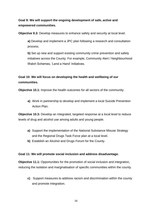**Goal 9: We will support the ongoing development of safe, active and empowered communities.**

**Objective 9.3:** Develop measures to enhance safety and security at local level.

**a)** Develop and implement a JPC plan following a research and consultation process.

**b)** Set up new and support existing community crime prevention and safety initiatives across the County. For example, Community Alert / Neighbourhood Watch Schemes, 'Lend a Hand' Initiatives.

**Goal 10: We will focus on developing the health and wellbeing of our communities.**

**Objective 10.1:** Improve the health outcomes for all sectors of the community.

**a)** Work in partnership to develop and implement a local Suicide Prevention Action Plan.

**Objective 10.3:** Develop an integrated, targeted response at a local level to reduce levels of drug and alcohol use among adults and young people.

- **a)** Support the implementation of the National Substance Misuse Strategy and the Regional Drugs Task Force plan at a local level.
- **b)** Establish an Alcohol and Drugs Forum for the County.

#### **Goal 11: We will promote social inclusion and address disadvantage.**

**Objective 11.1:** Opportunities for the promotion of social inclusion and integration, reducing the isolation and marginalisation of specific communities within the county.

**c)** Support measures to address racism and discrimination within the county and promote integration.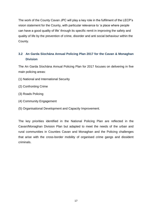The work of the County Cavan JPC will play a key role in the fulfilment of the LECP's vision statement for the County, with particular relevance to 'a place where people can have a good quality of life' through its specific remit in improving the safety and quality of life by the prevention of crime, disorder and anti social behaviour within the County.

### **3.2 An Garda Síochána Annual Policing Plan 2017 for the Cavan & Monaghan Division**

The An Garda Síochána Annual Policing Plan for 2017 focuses on delivering in five main policing areas:

- (1) National and International Security
- (2) Confronting Crime
- (3) Roads Policing
- (4) Community Engagement
- (5) Organisational Development and Capacity Improvement.

The key priorities identified in the National Policing Plan are reflected in the Cavan/Monaghan Division Plan but adapted to meet the needs of the urban and rural communities in Counties Cavan and Monaghan and the Policing challenges that arise with the cross-border mobility of organised crime gangs and dissident criminals.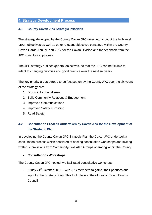# **4. Strategy Development Process**

#### **4.1 County Cavan JPC Strategic Priorities**

The strategy developed by the County Cavan JPC takes into account the high level LECP objectives as well as other relevant objectives contained within the County Cavan Garda Annual Plan 2017 for the Cavan Division and the feedback from the JPC consultation process.

The JPC strategy outlines general objectives, so that the JPC can be flexible to adapt to changing priorities and good practice over the next six years.

The key priority areas agreed to be focused on by the County JPC over the six years of the strategy are:

- 1. Drugs & Alcohol Misuse
- 2. Build Community Relations & Engagement
- 3. Improved Communications
- 4. Improved Safety & Policing
- 5. Road Safety

# **4.2 Consultation Process Undertaken by Cavan JPC for the Development of the Strategic Plan**

In developing the County Cavan JPC Strategic Plan the Cavan JPC undertook a consultation process which consisted of hosting consultation workshops and inviting written submissions from Community/Text Alert Groups operating within the County.

#### **Consultations Workshops**

The County Cavan JPC hosted two facilitated consultative workshops:

- Friday  $21^{st}$  October 2016 – with JPC members to gather their priorities and input for the Strategic Plan. This took place at the offices of Cavan County Council.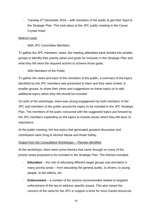Tuesday  $6<sup>th</sup>$  December 2016 – with members of the public to get their input to the Strategic Plan. This took place at the JPC public meeting in the Cavan Crystal Hotel.

#### Method Used:

- With JPC Committee Members

To gather the JPC members' views, the meeting attendees were divided into smaller groups to identify their priority areas and goals for inclusion in the Strategic Plan and what they felt were the required actions to achieve those goals.

- With Members of the Public

To gather the views and input of the members of the public, a summary of the topics identified by the JPC members was presented to them and they were invited, in smaller groups, to share their views and suggestions on these topics or to add additional topics which they felt should be included.

On both of the workshops, there was strong engagement by both members of the JPC and members of the public around the topics to be included in the JPC Strategic Plan. The members of the pubic concurred with the suggested topics put forward by the JPC members expanding on the topics to include issues which they felt were of importance.

At the public meeting, the two topics that generated greatest discussion and contribution were Drug & Alcohol Abuse and Road Safety.

#### Output from the Consultative Workshops – Themes Identified

At the workshops, there were some themes that came through on many of the priority areas proposed to be included in the Strategic Plan. The themes included:

- **Education** the role of educating different target groups was prevalent in many priority areas – from educating the general public, to drivers, to young people, to the elderly, etc.
- **Enforcement** a number of the actions recommended related to targeted enforcement of the law to address specific issues. This also raised the concern of the need for the JPC to support a drive for more Garda resources.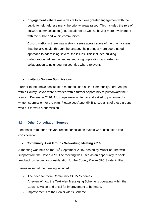- **Engagement** there was a desire to achieve greater engagement with the public to help address many the priority areas raised. This included the role of outward communication (e.g. text alerts) as well as having more involvement with the public and within communities.
- **Co-ordination**  there was a strong sense across some of the priority areas that the JPC could, through the strategy, help bring a more coordinated approach to addressing several the issues. This included building collaboration between agencies, reducing duplication, and extending collaboration to neighbouring counties where relevant.

#### **Invite for Written Submissions**

Further to the above consultation methods used all the Community Alert Groups within County Cavan were provided with a further opportunity to put forward their views in December 2016. All groups were written to and asked to put forward a written submission for the plan. Please see Appendix B to see a list of those groups who put forward a submission.

#### **4.3 Other Consultation Sources**

Feedback from other relevant recent consultation events were also taken into consideration:

#### **Community Alert Groups Networking Meeting 2016**

A meeting was held on the  $14<sup>th</sup>$  September 2016, hosted by Muntir na Tire with support from the Cavan JPC. The meeting was used as an opportunity to seek feedback on issues for consideration for the County Cavan JPC Strategic Plan.

Issues raised at the meeting included:

- The need for more Community CCTV Schemes.
- A review of how the Text Alert Messaging Scheme is operating within the Cavan Division and a call for improvement to be made.
- Improvements to the Senior Alerts Scheme.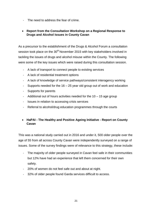The need to address the fear of crime.

#### **Report from the Consultation Workshop on a Regional Response to Drugs and Alcohol Issues in County Cavan**

As a precursor to the establishment of the Drugs & Alcohol Forum a consultation session took place on the  $30<sup>th</sup>$  November 2015 with key stakeholders involved in tackling the issues of drugs and alcohol misuse within the County. The following were some of the key issues which were raised during this consultation session.

- A lack of transport to connect people to existing services
- A lack of residential treatment options
- A lack of knowledge of service pathways/consistent interagency working
- Supports needed for the  $16 25$  year old group out of work and education
- Supports for parents
- Additional out of hours activities needed for the 10 15 age group
- Issues in relation to accessing crisis services
- Referral to alcohol/drug education programmes through the courts

#### **HaPAI - The Healthy and Positive Ageing Initiative - Report on County Cavan**

This was a national study carried out in 2016 and under it, 500 older people over the age of 55 from all across County Cavan were independently surveyed on a range of issues. Some of the survey findings were of relevance to this strategy, these include:

- The majority of older people surveyed in Cavan feel safe in their communities but 12% have had an experience that left them concerned for their own safety.
- 20% of women do not feel safe out and about at night.
- 32% of older people found Garda services difficult to access.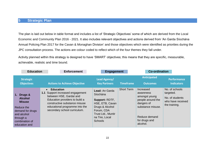The plan is laid out below in table format and includes a list of 'Strategic Objectives' some of which are derived from the Local Economic and Community Plan 2016 - 2021. It also includes relevant objectives and actions derived from 'An Garda Síochána Annual Policing Plan 2017 for the Cavan & Monaghan Division' and those objectives which were identified as priorities during the JPC consultation process. The actions are colour coded to reflect which of the four themes they fall under.

Activity planned within this strategy is designed to have 'SMART' objectives; this means that they are specific, measurable, achievable, realistic and time bound.

| <b>Education</b>                                                                                                                               | <b>Enforcement</b>                                                                                                                                                                                                                   | <b>Engagement</b>                                                                                                                                          |                   | <b>Co-ordination</b>                                                                                                                          |                                                                                      |
|------------------------------------------------------------------------------------------------------------------------------------------------|--------------------------------------------------------------------------------------------------------------------------------------------------------------------------------------------------------------------------------------|------------------------------------------------------------------------------------------------------------------------------------------------------------|-------------------|-----------------------------------------------------------------------------------------------------------------------------------------------|--------------------------------------------------------------------------------------|
| <b>Strategic</b><br><b>Objectives</b>                                                                                                          | <b>Actions to Achieve Objective</b>                                                                                                                                                                                                  | Lead Agency/<br><b>Key Partners</b>                                                                                                                        | <b>Timeframe</b>  | <b>Anticipated</b><br><b>Outcomes</b>                                                                                                         | <b>Performance</b><br><b>Indicators</b>                                              |
| 1. Drugs &<br><b>Alcohol</b><br><b>Misuse</b><br>Reduce the<br>demand for drugs<br>and alcohol<br>through a<br>combination of<br>education and | <b>Education</b><br>$\bullet$<br>Support increased engagement<br>1.1<br>between HSE, Gardaí and<br>Education providers to build a<br>constructive substance misuse<br>educational programme into the<br>secondary school curriculum. | Lead: An Garda<br>Síochána<br>Support: RDTF,<br>HSE, ETB, Cavan<br>Drugs & Alcohol<br>Forum, CDA<br>Trust Ltd., Muntir<br>na Tire, Local<br><b>Schools</b> | <b>Short Term</b> | Increased<br>awareness<br>amongst young<br>people around the<br>dangers of<br>substance misuse.<br>Reduce demand<br>for drugs and<br>alcohol. | No. of schools<br>targeted.<br>No. of students<br>who have received<br>the training. |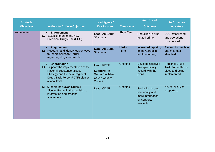| <b>Strategic</b>  |                                                                                                                                                                                 | <b>Lead Agency/</b>                                                                   |                       | <b>Anticipated</b>                                                                   | <b>Performance</b>                                                                   |
|-------------------|---------------------------------------------------------------------------------------------------------------------------------------------------------------------------------|---------------------------------------------------------------------------------------|-----------------------|--------------------------------------------------------------------------------------|--------------------------------------------------------------------------------------|
| <b>Objectives</b> | <b>Actions to Achieve Objective</b>                                                                                                                                             | <b>Key Partners</b>                                                                   | <b>Timeframe</b>      | <b>Outcomes</b>                                                                      | <b>Indicators</b>                                                                    |
| enforcement.      | <b>Enforcement</b><br>$\bullet$<br>1.2 Establishment of the new<br>Divisional Drugs Unit (DDU).                                                                                 | Lead: An Garda<br>Síochána                                                            | <b>Short Term</b>     | Reduction in drug<br>related crime                                                   | DDU established<br>and operations<br>commenced                                       |
|                   | <b>Engagement</b><br>1.3 Research and identify easier ways<br>to report issues to Gardaí<br>regarding drugs and alcohol.                                                        | Lead: An Garda<br>Síochána                                                            | Medium<br><b>Term</b> | Increased reporting<br>to the Gardaí in<br>relation to drug                          | Research complete<br>and methods<br>identified.                                      |
|                   | Coordination<br>1.4 Support the implementation of the<br><b>National Substance Misuse</b><br>Strategy and the new Regional<br>Drugs Task Force (RDTF) plan at<br>a local level. | Lead: RDTF<br><b>Support: An</b><br>Garda Síochána,<br><b>Cavan County</b><br>Council | Ongoing               | Develop initiatives<br>that specifically<br>accord with the<br>plans                 | <b>Regional Drugs</b><br><b>Task Force Plan in</b><br>place and being<br>implemented |
|                   | 1.5 Support the Cavan Drugs &<br>Alcohol Forum in the provision of<br>information and creating<br>awareness.                                                                    | Lead: CDAF                                                                            | Ongoing               | Reduction in drug<br>use locally and<br>more information<br>on supports<br>available | No. of initiatives<br>supported.                                                     |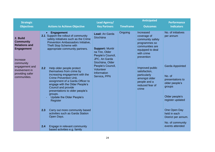| <b>Strategic</b>                                                                                                                                                          |                                                                                                                                                                                                                                                                                                                                                                                                                                                                                                                                                                                                                                                                                                             | <b>Lead Agency/</b>                                                                                                                                                                                     |                  | <b>Anticipated</b>                                                                                                                                                                                                                                | <b>Performance</b>                                                                                                                                                                                                                                      |
|---------------------------------------------------------------------------------------------------------------------------------------------------------------------------|-------------------------------------------------------------------------------------------------------------------------------------------------------------------------------------------------------------------------------------------------------------------------------------------------------------------------------------------------------------------------------------------------------------------------------------------------------------------------------------------------------------------------------------------------------------------------------------------------------------------------------------------------------------------------------------------------------------|---------------------------------------------------------------------------------------------------------------------------------------------------------------------------------------------------------|------------------|---------------------------------------------------------------------------------------------------------------------------------------------------------------------------------------------------------------------------------------------------|---------------------------------------------------------------------------------------------------------------------------------------------------------------------------------------------------------------------------------------------------------|
| <b>Objectives</b>                                                                                                                                                         | <b>Actions to Achieve Objective</b>                                                                                                                                                                                                                                                                                                                                                                                                                                                                                                                                                                                                                                                                         | <b>Key Partners</b>                                                                                                                                                                                     | <b>Timeframe</b> | <b>Outcomes</b>                                                                                                                                                                                                                                   | <b>Indicators</b>                                                                                                                                                                                                                                       |
| 2. Build<br><b>Community</b><br><b>Relations and</b><br><b>Engagement</b><br>Increase<br>community<br>engagement and<br>involvement in<br>providing safer<br>communities. | <b>Engagement</b><br>2.1 Support the rollout of community<br>safety initiatives such as the Crime<br>Prevention Ambassadors Initiative,<br><b>Theft Stop Scheme with</b><br>appropriate community partners.<br>2.2<br>Help older people protect<br>themselves from crime by<br>increasing engagement with the<br><b>Crime Prevention Unit,</b><br>assignment of a Garda Officer to<br>engage with the Older People's<br>Council and provide<br>presentations to older people's<br>groups.<br><b>Update the Older People's</b><br>Register<br>Carry out more community based<br>2.3<br>activities such as Garda Station<br>Open Days.<br>2.4<br>Engage in relevant community<br>based activities e.g. family | Lead: An Garda<br>Síochána<br><b>Support: Muntir</b><br>na Tire, Older<br>People's Council,<br>JPC, An Garda<br>Síochána, Older<br>People's Council,<br><b>Volunteer</b><br>Information<br>Service, PPN | Ongoing          | Increased<br>coverage of<br>community safety<br>programmes so<br>communities are<br>equipped to deal<br>with crime<br>prevention<br>Improved public<br>satisfaction,<br>particularly<br>amongst older<br>people and a<br>reduced fear of<br>crime | No. of initiatives<br>per annum<br><b>Garda Appointed</b><br>No. of<br>presentations to<br>older people's<br>groups<br>Older people's<br>register updated<br>One Open Day<br>held in each<br>District per annum.<br>No. of community<br>events attended |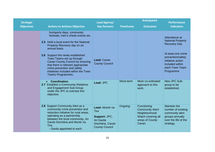| <b>Strategic</b>  |                                                                                                                                                                                                                                                                                                                                                                                                     | Lead Agency/                                                                                             |                  | <b>Anticipated</b>                                                                                         | <b>Performance</b>                                                                                                                                                                 |
|-------------------|-----------------------------------------------------------------------------------------------------------------------------------------------------------------------------------------------------------------------------------------------------------------------------------------------------------------------------------------------------------------------------------------------------|----------------------------------------------------------------------------------------------------------|------------------|------------------------------------------------------------------------------------------------------------|------------------------------------------------------------------------------------------------------------------------------------------------------------------------------------|
| <b>Objectives</b> | <b>Actions to Achieve Objective</b>                                                                                                                                                                                                                                                                                                                                                                 | <b>Key Partners</b>                                                                                      | <b>Timeframe</b> | <b>Outcomes</b>                                                                                            | <b>Indicators</b>                                                                                                                                                                  |
|                   | fun/sports days, community<br>festivals, men's sheds events etc.<br>2.5 Hold a local event for the National<br>Property Recovery day on an<br>annual basis.<br>2.6 Support the newly established<br>Town Teams set up through<br>Cavan County Council by ensuring<br>that there is relevant appropriate<br>crime prevention and safety<br>initiatives included within the Town<br>Teams Programmes. | Lead: Cavan<br><b>County Council</b>                                                                     |                  |                                                                                                            | Attendance at<br><b>National Property</b><br><b>Recovery Day</b><br>At least one crime<br>prevention/safety<br>initiative action<br>included within<br>each Town Team<br>Programme |
|                   | <b>Coordination</b><br>2.7 Establish a Community Relations<br>and Engagement Sub-Group<br>under the JPC to oversee this<br>objective.                                                                                                                                                                                                                                                               | Lead: JPC                                                                                                | Short-term       | More co-ordinated<br>approach to this<br>work.                                                             | New JPC Sub-<br>group to be<br>established.                                                                                                                                        |
|                   | 2.8 Support Community Alert as a<br>community crime prevention and<br>reduction initiative for rural areas,<br>operating as a partnership<br>between the local community, An<br>Garda Síochána and Muntir na<br>Tire.<br>- Garda appointed to each                                                                                                                                                  | Lead: Muintir na<br><b>Tire</b><br>Support: JPC,<br>An Garda<br>Síochána, Cavan<br><b>County Council</b> | Ongoing          | Functioning<br><b>Community Alert/</b><br>Neighbourhood<br>Watch covering all<br>areas of County<br>Cavan. | <b>Maintain the</b><br>number of existing<br>community alert<br>groups annually<br>over the life of the<br>strategy.                                                               |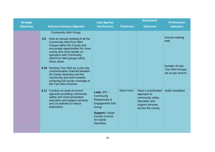| <b>Strategic</b>  |             |                                                                                                                                                                                                                                                                                                                                                                                                                                                                                         | <b>Lead Agency/</b>                                                                                                                                          |                   | <b>Anticipated</b>                                                                                               | <b>Performance</b>                                                                       |
|-------------------|-------------|-----------------------------------------------------------------------------------------------------------------------------------------------------------------------------------------------------------------------------------------------------------------------------------------------------------------------------------------------------------------------------------------------------------------------------------------------------------------------------------------|--------------------------------------------------------------------------------------------------------------------------------------------------------------|-------------------|------------------------------------------------------------------------------------------------------------------|------------------------------------------------------------------------------------------|
| <b>Objectives</b> |             | <b>Actions to Achieve Objective</b>                                                                                                                                                                                                                                                                                                                                                                                                                                                     | <b>Key Partners</b>                                                                                                                                          | <b>Timeframe</b>  | <b>Outcomes</b>                                                                                                  | <b>Indicators</b>                                                                        |
|                   | 2.9<br>2.10 | <b>Community Alert Group.</b><br>Host an annual meeting of all the<br><b>Community Alert/Text Alert</b><br>Groups within the County and<br>encourage opportunities for cross<br>county and cross border co-<br>operation with Community<br>Alert/Text Alert groups within<br>these areas.<br>Develop Text Alert as a one way<br>communication channel between<br>An Garda Síochána and the<br>community and work towards<br>achieving full county coverage of<br>the Text Alert Scheme. |                                                                                                                                                              |                   |                                                                                                                  | Annual meeting<br>held<br>Number of new<br><b>Text Alert Groups</b><br>set up per annum. |
|                   |             | 2.11 Conduct an audit of current<br>agencies providing community<br>safety and crime prevention<br>education and support services<br>and co-ordinate to reduce<br>duplication.                                                                                                                                                                                                                                                                                                          | Lead: $JPC-$<br>Community<br><b>Relationship &amp;</b><br><b>Engagement Sub</b><br>Group<br><b>Support: Cavan</b><br>County Council,<br>An Garda<br>Síochána | <b>Short-Term</b> | Have a coordinated<br>approach to<br>community safety<br>education and<br>support services<br>across the county. | Audit completed                                                                          |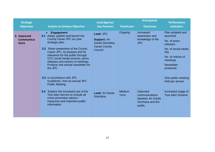| <b>Strategic</b>                   |                                                                                                                                                                                                                                                                                                                                                                                                                                                                   | <b>Lead Agency/</b>                                                                  |                       | <b>Anticipated</b>                                                            | <b>Performance</b>                                                                                                                                                                                 |
|------------------------------------|-------------------------------------------------------------------------------------------------------------------------------------------------------------------------------------------------------------------------------------------------------------------------------------------------------------------------------------------------------------------------------------------------------------------------------------------------------------------|--------------------------------------------------------------------------------------|-----------------------|-------------------------------------------------------------------------------|----------------------------------------------------------------------------------------------------------------------------------------------------------------------------------------------------|
| <b>Objectives</b>                  | <b>Actions to Achieve Objective</b>                                                                                                                                                                                                                                                                                                                                                                                                                               | <b>Key Partners</b>                                                                  | <b>Timeframe</b>      | <b>Outcomes</b>                                                               | <b>Indicators</b>                                                                                                                                                                                  |
| 3. Improved<br>Communica-<br>tions | <b>Engagement</b><br>$\bullet$<br>3.1 Adopt, publish and launch the<br>County Cavan JPC six year<br>strategic plan.<br>Raise awareness of the County<br>3.2 <sub>2</sub><br>Cavan JPC, its purpose and its<br>relevance for the public through<br>CCC social media sources, press<br>releases and notices of meetings.<br>Produce one annual newsletter for<br>the JPC.<br><b>3.3</b> In accordance with JPC<br>Guidelines, host an annual JPC<br>Public Meeting. | Lead: JPC<br><b>Support: An</b><br>Garda Síochána,<br><b>Cavan County</b><br>Council | Ongoing               | Increased<br>awareness and<br>knowledge of the<br><b>JPC</b>                  | Plan adopted and<br>launched<br>No. of press<br>releases<br>No. of social media<br>hits<br>No. of notices of<br>meetings<br><b>Newsletter</b><br>produced.<br>One public meeting<br>held per annum |
|                                    | Explore the increased use of the<br>3.4<br><b>Text Alert Service to include all</b><br>crime prevention advice /<br>measures and important public<br>information.                                                                                                                                                                                                                                                                                                 | Lead: An Garda<br>Síochána                                                           | Medium<br><b>Term</b> | Improved<br>communications<br>between An Garda<br>Síochána and the<br>public. | Increased usage of<br><b>Text Alert Scheme</b>                                                                                                                                                     |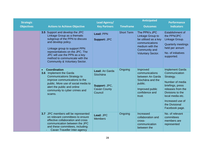| <b>Strategic</b>  |                                                                                                                                                                                                                                                                                                           | Lead Agency/                                                                         |                   | <b>Anticipated</b>                                                                                                                          | <b>Performance</b>                                                                                                                                                                                               |
|-------------------|-----------------------------------------------------------------------------------------------------------------------------------------------------------------------------------------------------------------------------------------------------------------------------------------------------------|--------------------------------------------------------------------------------------|-------------------|---------------------------------------------------------------------------------------------------------------------------------------------|------------------------------------------------------------------------------------------------------------------------------------------------------------------------------------------------------------------|
| <b>Objectives</b> | <b>Actions to Achieve Objective</b>                                                                                                                                                                                                                                                                       | <b>Key Partners</b>                                                                  | <b>Timeframe</b>  | <b>Outcomes</b>                                                                                                                             | <b>Indicators</b>                                                                                                                                                                                                |
|                   | 3.5 Support and develop the JPC<br>Linkage Group as a thematic<br>subgroup of the PPN to discuss<br>and develop policy.<br>Linkage group to support PPN<br>representatives on the JPC. The<br>JPC will use the PPN as a key<br>method to communicate with the<br><b>Community &amp; Voluntary Sector.</b> | Lead: PPN<br><b>Support: JPC</b>                                                     | <b>Short Term</b> | The PPN's JPC<br>Linkage Group to<br>be utilised as a key<br>communications<br>medium with the<br>Community and<br><b>Voluntary Sector.</b> | Establishment of<br>the PPN/JPC<br>Linkage Group.<br><b>Quarterly meetings</b><br>held per annum<br>No. of initiatives<br>supported.                                                                             |
|                   | <b>Coordination</b><br>$\bullet$<br>3.6 Implement the Garda<br><b>Communications Strategy to</b><br>improve communications to the<br>public. More use of social media to<br>alert the public and online<br>community to cyber crimes and<br>scams.                                                        | <b>Lead: An Garda</b><br>Síochána<br>Support: JPC,<br><b>Cavan County</b><br>Council | Ongoing           | Improved<br>communications<br>between An Garda<br>Síochána and the<br>public.<br>Improved public<br>confidence and<br>trust.                | <b>Implement Garda</b><br>Communication<br>Strategy.<br>Number of media<br>briefings, press<br>releases from the<br>Divisions to the<br>local media etc.<br>Increased use of<br>the Divisional<br>Facebook page. |
|                   | 3.7 JPC members will be represented<br>on relevant committees to ensure<br>effective collaboration and cross<br>communication between the JPC<br>and these committees, including:<br>Cavan Traveller Inter-agency                                                                                         | Lead: JPC<br><b>Members</b>                                                          | Ongoing           | Increased<br>collaboration and<br>cross-<br>communication<br>between the                                                                    | No. of relevant<br>committees<br>members are<br>represented                                                                                                                                                      |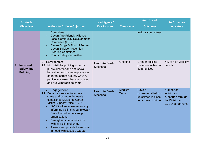| <b>Strategic</b>                                    |                                                                                                                                                                                                                                                                                                                                                                                                          | Lead Agency/               |                       | <b>Anticipated</b>                                                             | <b>Performance</b>                                                                 |
|-----------------------------------------------------|----------------------------------------------------------------------------------------------------------------------------------------------------------------------------------------------------------------------------------------------------------------------------------------------------------------------------------------------------------------------------------------------------------|----------------------------|-----------------------|--------------------------------------------------------------------------------|------------------------------------------------------------------------------------|
| <b>Objectives</b>                                   | <b>Actions to Achieve Objective</b>                                                                                                                                                                                                                                                                                                                                                                      | <b>Key Partners</b>        | <b>Timeframe</b>      | <b>Outcomes</b>                                                                | <b>Indicators</b>                                                                  |
|                                                     | Committee<br><b>Cavan Age Friendly Alliance</b><br><b>Local Community Development</b><br>Committee (LCDC)<br>Cavan Drugs & Alcohol Forum<br><b>Cavan Suicide Prevention</b><br><b>Steering Committee</b><br><b>Roads Safety Committee</b>                                                                                                                                                                |                            |                       | various committees                                                             |                                                                                    |
| 4. Improved<br><b>Safety and</b><br><b>Policing</b> | <b>Enforcement</b><br>$\bullet$<br>High visibility policing to tackle<br>4.1<br>public disorder and anti-social<br>behaviour and increase presence<br>of gardaí across County Cavan,<br>particularly areas that are isolated<br>and are vulnerable to crime.                                                                                                                                             | Lead: An Garda<br>Síochána | Ongoing               | Greater policing<br>presence within our<br>communities                         | No. of high visibility<br>patrols                                                  |
|                                                     | <b>Engagement</b><br>4.2 Enhance services to victims of<br>crime and promote the newly<br>established Divisional Garda<br>Victim Support Office (GVSO).<br>GVSO will raise awareness by<br>informing victims about relevant<br>State funded victims support<br>organisations.<br>Strengthen communications<br>with all victims of crime.<br>Assess and provide those most<br>in need with suitable Garda | Lead: An Garda<br>Síochána | Medium<br><b>Term</b> | Have a<br>professional follow-<br>up service in place<br>for victims of crime. | Number of<br>individuals<br>supported through<br>the Divisional<br>GVSO per annum. |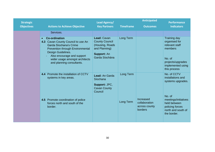| <b>Strategic</b>  |                                                                                                                                                                                                                                                          | Lead Agency/                                                                                                      |                  | <b>Anticipated</b>                                     | <b>Performance</b>                                                                                                                    |
|-------------------|----------------------------------------------------------------------------------------------------------------------------------------------------------------------------------------------------------------------------------------------------------|-------------------------------------------------------------------------------------------------------------------|------------------|--------------------------------------------------------|---------------------------------------------------------------------------------------------------------------------------------------|
| <b>Objectives</b> | <b>Actions to Achieve Objective</b>                                                                                                                                                                                                                      | <b>Key Partners</b>                                                                                               | <b>Timeframe</b> | <b>Outcomes</b>                                        | <b>Indicators</b>                                                                                                                     |
|                   | Services.                                                                                                                                                                                                                                                |                                                                                                                   |                  |                                                        |                                                                                                                                       |
|                   | <b>Co-ordination</b><br>$\bullet$<br>4.3 Cavan County Council to use An<br>Garda Síochana's Crime<br>Prevention through Environmental<br>Design Guidelines.<br>Also encourage and support<br>wider usage amongst architects<br>and planning consultants. | Lead: Cavan<br><b>County Council</b><br>(Housing, Roads)<br>and Planning)<br><b>Support: An</b><br>Garda Síochána | Long Term        |                                                        | <b>Training day</b><br>organised for<br>relevant staff<br>members<br>No. of<br>projects/upgrades<br>implemented using<br>this process |
|                   | 4.4 Promote the installation of CCTV<br>systems in key areas.                                                                                                                                                                                            | Lead: An Garda<br>Síochana<br>Support: JPC,<br><b>Cavan County</b><br>Council                                     | Long Term        |                                                        | No. of CCTV<br>installations and<br>systems upgrades.                                                                                 |
|                   | 4.5 Promote coordination of police<br>forces north and south of the<br>border.                                                                                                                                                                           |                                                                                                                   | Long Term        | Increased<br>collaboration<br>across county<br>borders | No. of<br>meetings/initiatives<br>held between<br>policing forces<br>north and south of<br>the border.                                |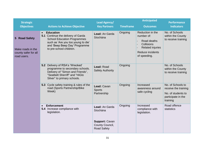| <b>Strategic</b>                                                          |                                                                                                                                                                                                             | Lead Agency/                                                                                 |                  | <b>Anticipated</b>                                                                                                         | <b>Performance</b>                                                                                |
|---------------------------------------------------------------------------|-------------------------------------------------------------------------------------------------------------------------------------------------------------------------------------------------------------|----------------------------------------------------------------------------------------------|------------------|----------------------------------------------------------------------------------------------------------------------------|---------------------------------------------------------------------------------------------------|
| <b>Objectives</b>                                                         | <b>Actions to Achieve Objective</b>                                                                                                                                                                         | <b>Key Partners</b>                                                                          | <b>Timeframe</b> | <b>Outcomes</b>                                                                                                            | <b>Indicators</b>                                                                                 |
| 5 Road Safety<br>Make roads in the<br>county safer for all<br>road users. | <b>Education</b><br>$\bullet$<br>5.1 Continue the delivery of Garda<br><b>School Education Programmes</b><br>such as 'Are you too young to die'<br>and 'Beep Beep Day' Programme<br>to pre-school children. | Lead: An Garda<br>Síochána                                                                   | Ongoing          | Reduction in the<br>number of:<br>Road deaths<br>Collisions<br><b>Related injuries</b><br>Reduce incidents<br>of speeding. | No. of Schools<br>within the County<br>to receive training                                        |
|                                                                           | 5.2 Delivery of RSA's 'Wrecked'<br>programme to secondary schools.<br>Delivery of "Simon and Friends",<br>"Seatbelt Sherriff" and "HiGlo<br>Silver" to primary schools.                                     | Lead: Road<br><b>Safety Authority</b>                                                        | Ongoing          |                                                                                                                            | No. of Schools<br>within the County<br>to receive training                                        |
|                                                                           | 5.3 Cycle safety training & rules of the<br>road (Sports Partnership/Bike<br>Week)                                                                                                                          | Lead: Cavan<br><b>Sports</b><br>Partnership                                                  | Ongoing          | Increased<br>awareness around<br>safe cycling                                                                              | No. of Schools to<br>receive the training<br>No. of students to<br>participate in the<br>training |
|                                                                           | <b>Enforcement</b><br>$\bullet$<br>5.4 Increase compliance with<br>legislation.                                                                                                                             | Lead: An Garda<br>Síochána<br><b>Support: Cavan</b><br>County Council,<br><b>Road Safety</b> | Ongoing          | Increased<br>compliance with<br>legislation.                                                                               | Road offence<br>statistics                                                                        |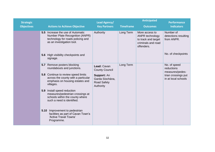| <b>Strategic</b>  |                                                                                                                                               | Lead Agency/                                                      |                  | <b>Anticipated</b>                                                                           | <b>Performance</b>                              |
|-------------------|-----------------------------------------------------------------------------------------------------------------------------------------------|-------------------------------------------------------------------|------------------|----------------------------------------------------------------------------------------------|-------------------------------------------------|
| <b>Objectives</b> | <b>Actions to Achieve Objective</b>                                                                                                           | <b>Key Partners</b>                                               | <b>Timeframe</b> | <b>Outcomes</b>                                                                              | <b>Indicators</b>                               |
|                   | <b>5.5</b> Increase the use of Automatic<br>Number Plate Recognition (ANPR)<br>technology for roads policing and<br>as an investigation tool. | Authority                                                         | Long Term        | More access to<br>ANPR technology<br>to track and target<br>criminals and road<br>offenders. | Number of<br>detections resulting<br>from ANPR. |
|                   | 5.6 High visibility checkpoints and<br>signage.                                                                                               |                                                                   |                  |                                                                                              | No. of checkpoints                              |
|                   | 5.7 Remove posters blocking<br>roundabouts and junctions.                                                                                     | Lead: Cavan<br><b>County Council</b>                              | Long Term        |                                                                                              | No. of speed<br>reductions<br>measures/pedes-   |
|                   | <b>5.8</b> Continue to review speed limits<br>across the county with a particular<br>emphasis on housing estates and<br>villages.             | Support: An<br>Garda Síochána,<br><b>Road Safety</b><br>Authority |                  |                                                                                              | trian crossings put<br>in at local schools      |
|                   | 5.9 Install speed reduction<br>measures/pedestrian crossings at<br>schools within the county where<br>such a need is identified.              |                                                                   |                  |                                                                                              |                                                 |
|                   | Improvement to pedestrian<br>5.10<br>facilities as part of Cavan Town's<br>'Active Travel Towns'<br>Programme.                                |                                                                   |                  |                                                                                              |                                                 |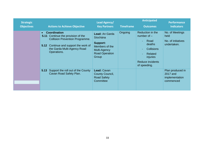| <b>Strategic</b><br><b>Objectives</b> | <b>Actions to Achieve Objective</b>                                                                                                                                                                           | Lead Agency/<br><b>Key Partners</b>                                                                                      | <b>Timeframe</b> | <b>Anticipated</b><br><b>Outcomes</b>                                                                                                      | <b>Performance</b><br><b>Indicators</b>                      |
|---------------------------------------|---------------------------------------------------------------------------------------------------------------------------------------------------------------------------------------------------------------|--------------------------------------------------------------------------------------------------------------------------|------------------|--------------------------------------------------------------------------------------------------------------------------------------------|--------------------------------------------------------------|
|                                       | <b>Coordination</b><br>$\bullet$<br>Continue the provision of the<br>5.11<br><b>Collision Prevention Programme.</b><br>Continue and support the work of<br>5.12<br>the Garda Multi-Agency Road<br>Operations. | <b>Lead: An Garda</b><br>Síochána<br><b>Support:</b><br>Members of the<br>Multi-Agency<br><b>Road Operation</b><br>Group | Ongoing          | Reduction in the<br>number of $-$<br>Road<br>deaths<br><b>Collisions</b><br>Related<br><i>injuries</i><br>Reduce incidents<br>of speeding. | No. of Meetings<br>held<br>No. of initiatives<br>undertaken. |
|                                       | Support the roll out of the County<br>5.13<br>Cavan Road Safety Plan.                                                                                                                                         | Lead: Cavan<br>County Council,<br><b>Road Safety</b><br>Committee                                                        |                  |                                                                                                                                            | Plan produced in<br>2017 and<br>implementation<br>commenced  |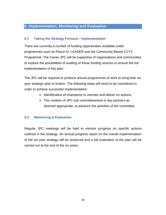#### **6. Implementation, Monitoring and Evaluation**

#### **6.1 Taking the Strategy Forward – Implementation**

There are currently a number of funding opportunities available under programmes such as Peace IV, LEADER and the Community Based CCTV Programme. The Cavan JPC will be supportive of organisations and communities to explore the possibilities of availing of these funding sources to ensure the full implementation of this plan.

The JPC will be required to produce annual programmes of work to bring their six year strategic plan to fruition. The following steps will need to be considered in order to achieve successful implementation:

- $\triangleright$  Identification of champions to oversee and deliver on actions.
- $\triangleright$  The creation of JPC sub committees/and or key partners as deemed appropriate, to advance the activities of the committee.

#### **6.2 Monitoring & Evaluation**

Regular JPC meetings will be held to monitor progress on specific actions outlined in the strategy. An annual progress report on the overall implementation of the six year strategy will be produced and a full evaluation of the plan will be carried out at the end of the six years.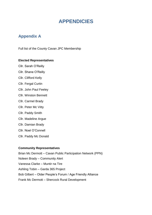# **APPENDICIES**

# **Appendix A**

Full list of the County Cavan JPC Membership

#### **Elected Representatives**

- Cllr. Sarah O'Reilly Cllr. Shane O'Reilly Cllr. Clifford Kelly Cllr. Fergal Curtin Cllr. John Paul Feeley Cllr. Winston Bennett Cllr. Carmel Brady Cllr. Peter Mc Vitty Cllr. Paddy Smith Cllr. Madeline Argue Cllr. Damian Brady Cllr. Noel O'Connell
- Cllr. Paddy Mc Donald

#### **Community Representatives**

Brian Mc Dermott – Cavan Public Participation Network (PPN) Noleen Brady – Community Alert Vanessa Clarke – Muntir na Tire Ashling Tobin – Garda 365 Project Bob Gilbert – Older People's Forum / Age Friendly Alliance Frank Mc Dermott – Shercock Rural Development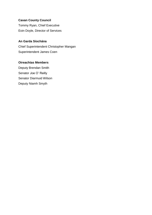**Cavan County Council** Tommy Ryan, Chief Executive Eoin Doyle, Director of Services

#### **An Garda Síochána**

Chief Superintendent Christopher Mangan Superintendent James Coen

#### **Oireachtas Members**

Deputy Brendan Smith Senator Joe O' Reilly Senator Diarmuid Wilson Deputy Niamh Smyth